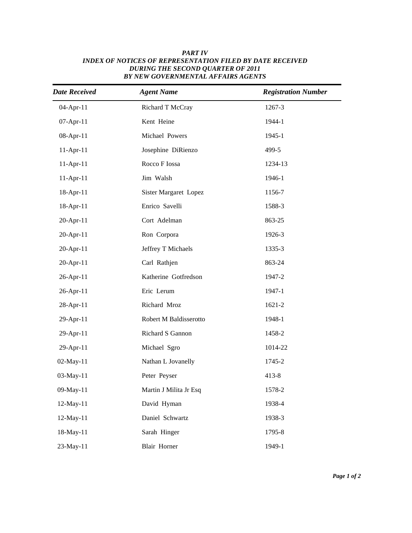| <b>Date Received</b> | <b>Agent Name</b>      | <b>Registration Number</b> |
|----------------------|------------------------|----------------------------|
| 04-Apr-11            | Richard T McCray       | 1267-3                     |
| 07-Apr-11            | Kent Heine             | 1944-1                     |
| 08-Apr-11            | Michael Powers         | 1945-1                     |
| $11-Apr-11$          | Josephine DiRienzo     | 499-5                      |
| $11-Apr-11$          | Rocco F Iossa          | 1234-13                    |
| $11-Apr-11$          | Jim Walsh              | 1946-1                     |
| 18-Apr-11            | Sister Margaret Lopez  | 1156-7                     |
| 18-Apr-11            | Enrico Savelli         | 1588-3                     |
| 20-Apr-11            | Cort Adelman           | 863-25                     |
| 20-Apr-11            | Ron Corpora            | 1926-3                     |
| 20-Apr-11            | Jeffrey T Michaels     | 1335-3                     |
| 20-Apr-11            | Carl Rathjen           | 863-24                     |
| 26-Apr-11            | Katherine Gotfredson   | 1947-2                     |
| 26-Apr-11            | Eric Lerum             | 1947-1                     |
| 28-Apr-11            | Richard Mroz           | 1621-2                     |
| 29-Apr-11            | Robert M Baldisserotto | 1948-1                     |
| 29-Apr-11            | Richard S Gannon       | 1458-2                     |
| 29-Apr-11            | Michael Sgro           | 1014-22                    |
| 02-May-11            | Nathan L Jovanelly     | 1745-2                     |
| 03-May-11            | Peter Peyser           | $413 - 8$                  |
| 09-May-11            | Martin J Milita Jr Esq | 1578-2                     |
| 12-May-11            | David Hyman            | 1938-4                     |
| 12-May-11            | Daniel Schwartz        | 1938-3                     |
| 18-May-11            | Sarah Hinger           | 1795-8                     |
| 23-May-11            | <b>Blair Horner</b>    | 1949-1                     |

## *Active date Last Name Full Number Full Name INDEX OF NOTICES OF REPRESENTATION FILED BY DATE RECEIVED PART IV DURING THE SECOND QUARTER OF 2011 BY NEW GOVERNMENTAL AFFAIRS AGENTS*